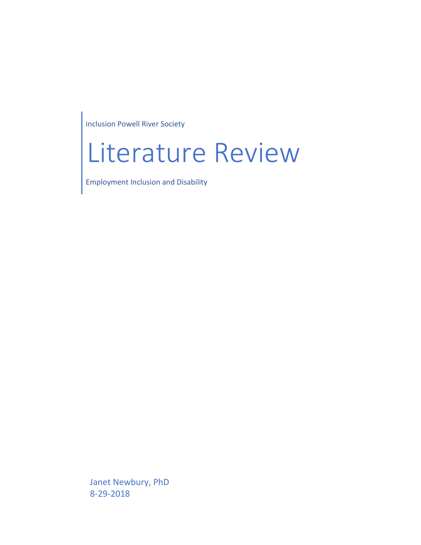inclusion Powell River Society

# Literature Review

Employment Inclusion and Disability

Janet Newbury, PhD 8-29-2018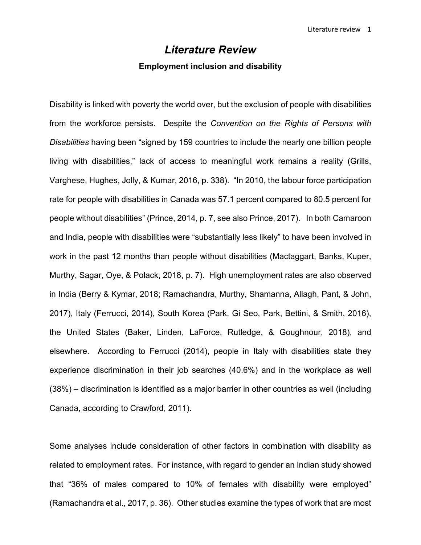# *Literature Review*

### **Employment inclusion and disability**

Disability is linked with poverty the world over, but the exclusion of people with disabilities from the workforce persists. Despite the *Convention on the Rights of Persons with Disabilities* having been "signed by 159 countries to include the nearly one billion people living with disabilities," lack of access to meaningful work remains a reality (Grills, Varghese, Hughes, Jolly, & Kumar, 2016, p. 338). "In 2010, the labour force participation rate for people with disabilities in Canada was 57.1 percent compared to 80.5 percent for people without disabilities" (Prince, 2014, p. 7, see also Prince, 2017). In both Camaroon and India, people with disabilities were "substantially less likely" to have been involved in work in the past 12 months than people without disabilities (Mactaggart, Banks, Kuper, Murthy, Sagar, Oye, & Polack, 2018, p. 7). High unemployment rates are also observed in India (Berry & Kymar, 2018; Ramachandra, Murthy, Shamanna, Allagh, Pant, & John, 2017), Italy (Ferrucci, 2014), South Korea (Park, Gi Seo, Park, Bettini, & Smith, 2016), the United States (Baker, Linden, LaForce, Rutledge, & Goughnour, 2018), and elsewhere. According to Ferrucci (2014), people in Italy with disabilities state they experience discrimination in their job searches (40.6%) and in the workplace as well (38%) – discrimination is identified as a major barrier in other countries as well (including Canada, according to Crawford, 2011).

Some analyses include consideration of other factors in combination with disability as related to employment rates. For instance, with regard to gender an Indian study showed that "36% of males compared to 10% of females with disability were employed" (Ramachandra et al., 2017, p. 36). Other studies examine the types of work that are most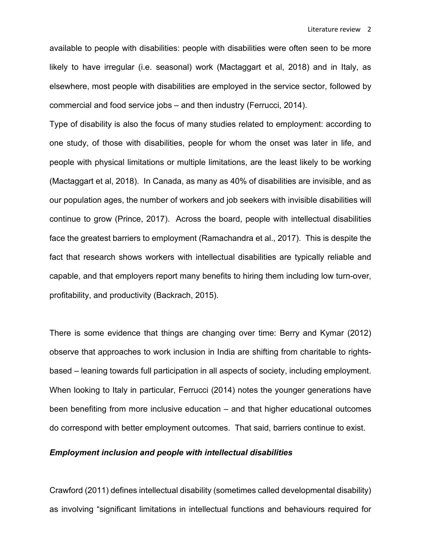available to people with disabilities: people with disabilities were often seen to be more likely to have irregular (i.e. seasonal) work (Mactaggart et al, 2018) and in Italy, as elsewhere, most people with disabilities are employed in the service sector, followed by commercial and food service jobs – and then industry (Ferrucci, 2014).

Type of disability is also the focus of many studies related to employment: according to one study, of those with disabilities, people for whom the onset was later in life, and people with physical limitations or multiple limitations, are the least likely to be working (Mactaggart et al, 2018). In Canada, as many as 40% of disabilities are invisible, and as our population ages, the number of workers and job seekers with invisible disabilities will continue to grow (Prince, 2017). Across the board, people with intellectual disabilities face the greatest barriers to employment (Ramachandra et al., 2017). This is despite the fact that research shows workers with intellectual disabilities are typically reliable and capable, and that employers report many benefits to hiring them including low turn-over, profitability, and productivity (Backrach, 2015).

There is some evidence that things are changing over time: Berry and Kymar (2012) observe that approaches to work inclusion in India are shifting from charitable to rightsbased – leaning towards full participation in all aspects of society, including employment. When looking to Italy in particular, Ferrucci (2014) notes the younger generations have been benefiting from more inclusive education – and that higher educational outcomes do correspond with better employment outcomes. That said, barriers continue to exist.

# *Employment inclusion and people with intellectual disabilities*

Crawford (2011) defines intellectual disability (sometimes called developmental disability) as involving "significant limitations in intellectual functions and behaviours required for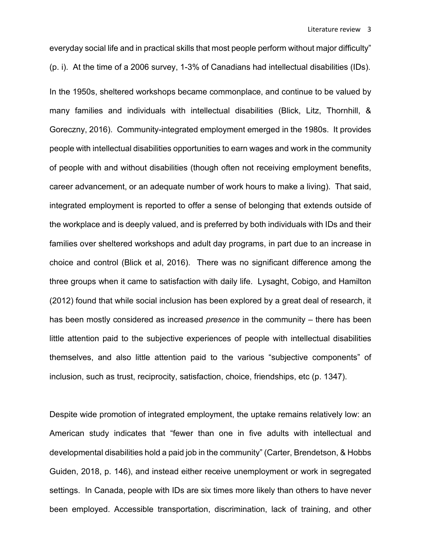everyday social life and in practical skills that most people perform without major difficulty" (p. i). At the time of a 2006 survey, 1-3% of Canadians had intellectual disabilities (IDs).

In the 1950s, sheltered workshops became commonplace, and continue to be valued by many families and individuals with intellectual disabilities (Blick, Litz, Thornhill, & Goreczny, 2016). Community-integrated employment emerged in the 1980s. It provides people with intellectual disabilities opportunities to earn wages and work in the community of people with and without disabilities (though often not receiving employment benefits, career advancement, or an adequate number of work hours to make a living). That said, integrated employment is reported to offer a sense of belonging that extends outside of the workplace and is deeply valued, and is preferred by both individuals with IDs and their families over sheltered workshops and adult day programs, in part due to an increase in choice and control (Blick et al, 2016). There was no significant difference among the three groups when it came to satisfaction with daily life. Lysaght, Cobigo, and Hamilton (2012) found that while social inclusion has been explored by a great deal of research, it has been mostly considered as increased *presence* in the community – there has been little attention paid to the subjective experiences of people with intellectual disabilities themselves, and also little attention paid to the various "subjective components" of inclusion, such as trust, reciprocity, satisfaction, choice, friendships, etc (p. 1347).

Despite wide promotion of integrated employment, the uptake remains relatively low: an American study indicates that "fewer than one in five adults with intellectual and developmental disabilities hold a paid job in the community" (Carter, Brendetson, & Hobbs Guiden, 2018, p. 146), and instead either receive unemployment or work in segregated settings. In Canada, people with IDs are six times more likely than others to have never been employed. Accessible transportation, discrimination, lack of training, and other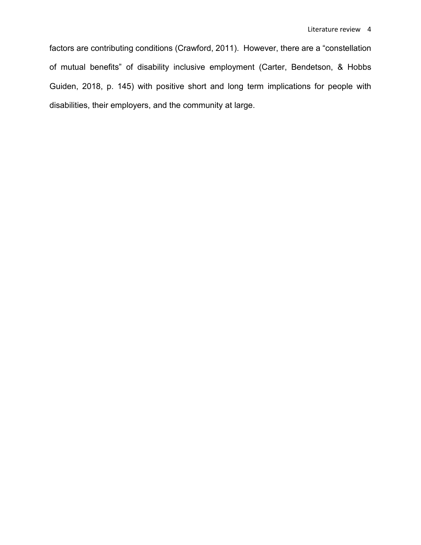factors are contributing conditions (Crawford, 2011). However, there are a "constellation of mutual benefits" of disability inclusive employment (Carter, Bendetson, & Hobbs Guiden, 2018, p. 145) with positive short and long term implications for people with disabilities, their employers, and the community at large.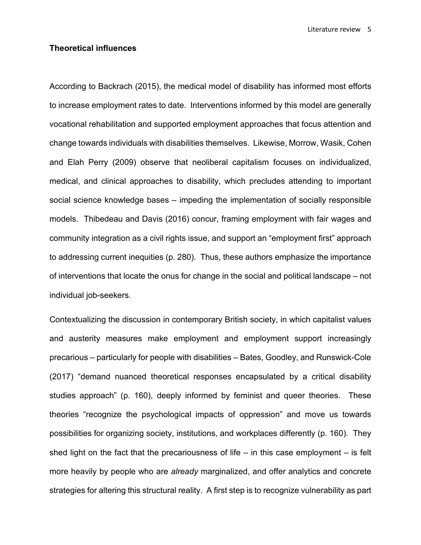Literature review 5

# **Theoretical influences**

According to Backrach (2015), the medical model of disability has informed most efforts to increase employment rates to date. Interventions informed by this model are generally vocational rehabilitation and supported employment approaches that focus attention and change towards individuals with disabilities themselves. Likewise, Morrow, Wasik, Cohen and Elah Perry (2009) observe that neoliberal capitalism focuses on individualized, medical, and clinical approaches to disability, which precludes attending to important social science knowledge bases – impeding the implementation of socially responsible models. Thibedeau and Davis (2016) concur, framing employment with fair wages and community integration as a civil rights issue, and support an "employment first" approach to addressing current inequities (p. 280). Thus, these authors emphasize the importance of interventions that locate the onus for change in the social and political landscape – not individual job-seekers.

Contextualizing the discussion in contemporary British society, in which capitalist values and austerity measures make employment and employment support increasingly precarious – particularly for people with disabilities – Bates, Goodley, and Runswick-Cole (2017) "demand nuanced theoretical responses encapsulated by a critical disability studies approach" (p. 160), deeply informed by feminist and queer theories. These theories "recognize the psychological impacts of oppression" and move us towards possibilities for organizing society, institutions, and workplaces differently (p. 160). They shed light on the fact that the precariousness of life  $-$  in this case employment  $-$  is felt more heavily by people who are *already* marginalized, and offer analytics and concrete strategies for altering this structural reality. A first step is to recognize vulnerability as part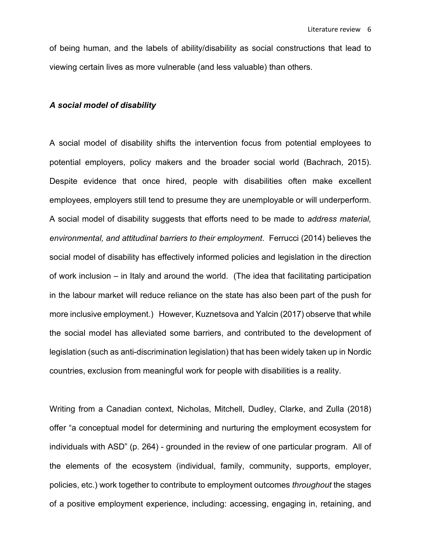of being human, and the labels of ability/disability as social constructions that lead to viewing certain lives as more vulnerable (and less valuable) than others.

#### *A social model of disability*

A social model of disability shifts the intervention focus from potential employees to potential employers, policy makers and the broader social world (Bachrach, 2015). Despite evidence that once hired, people with disabilities often make excellent employees, employers still tend to presume they are unemployable or will underperform. A social model of disability suggests that efforts need to be made to *address material, environmental, and attitudinal barriers to their employment*. Ferrucci (2014) believes the social model of disability has effectively informed policies and legislation in the direction of work inclusion – in Italy and around the world. (The idea that facilitating participation in the labour market will reduce reliance on the state has also been part of the push for more inclusive employment.) However, Kuznetsova and Yalcin (2017) observe that while the social model has alleviated some barriers, and contributed to the development of legislation (such as anti-discrimination legislation) that has been widely taken up in Nordic countries, exclusion from meaningful work for people with disabilities is a reality.

Writing from a Canadian context, Nicholas, Mitchell, Dudley, Clarke, and Zulla (2018) offer "a conceptual model for determining and nurturing the employment ecosystem for individuals with ASD" (p. 264) - grounded in the review of one particular program. All of the elements of the ecosystem (individual, family, community, supports, employer, policies, etc.) work together to contribute to employment outcomes *throughout* the stages of a positive employment experience, including: accessing, engaging in, retaining, and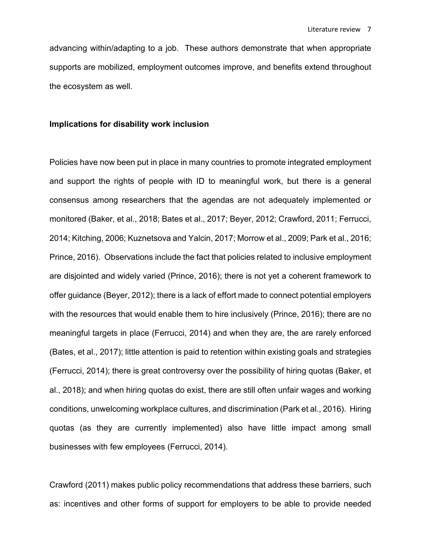advancing within/adapting to a job. These authors demonstrate that when appropriate supports are mobilized, employment outcomes improve, and benefits extend throughout the ecosystem as well.

#### **Implications for disability work inclusion**

Policies have now been put in place in many countries to promote integrated employment and support the rights of people with ID to meaningful work, but there is a general consensus among researchers that the agendas are not adequately implemented or monitored (Baker, et al., 2018; Bates et al., 2017; Beyer, 2012; Crawford, 2011; Ferrucci, 2014; Kitching, 2006; Kuznetsova and Yalcin, 2017; Morrow et al., 2009; Park et al., 2016; Prince, 2016). Observations include the fact that policies related to inclusive employment are disjointed and widely varied (Prince, 2016); there is not yet a coherent framework to offer guidance (Beyer, 2012); there is a lack of effort made to connect potential employers with the resources that would enable them to hire inclusively (Prince, 2016); there are no meaningful targets in place (Ferrucci, 2014) and when they are, the are rarely enforced (Bates, et al., 2017); little attention is paid to retention within existing goals and strategies (Ferrucci, 2014); there is great controversy over the possibility of hiring quotas (Baker, et al., 2018); and when hiring quotas do exist, there are still often unfair wages and working conditions, unwelcoming workplace cultures, and discrimination (Park et al., 2016). Hiring quotas (as they are currently implemented) also have little impact among small businesses with few employees (Ferrucci, 2014).

Crawford (2011) makes public policy recommendations that address these barriers, such as: incentives and other forms of support for employers to be able to provide needed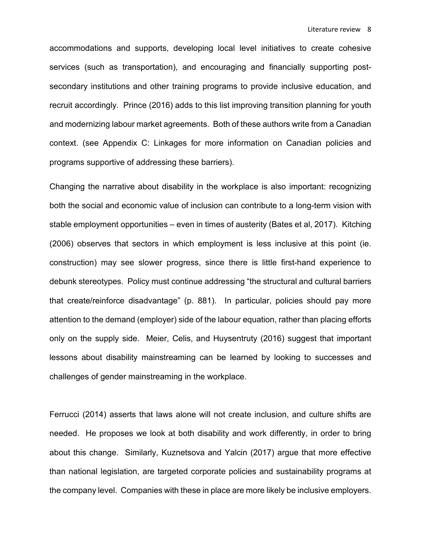accommodations and supports, developing local level initiatives to create cohesive services (such as transportation), and encouraging and financially supporting postsecondary institutions and other training programs to provide inclusive education, and recruit accordingly. Prince (2016) adds to this list improving transition planning for youth and modernizing labour market agreements. Both of these authors write from a Canadian context. (see Appendix C: Linkages for more information on Canadian policies and programs supportive of addressing these barriers).

Changing the narrative about disability in the workplace is also important: recognizing both the social and economic value of inclusion can contribute to a long-term vision with stable employment opportunities – even in times of austerity (Bates et al, 2017). Kitching (2006) observes that sectors in which employment is less inclusive at this point (ie. construction) may see slower progress, since there is little first-hand experience to debunk stereotypes. Policy must continue addressing "the structural and cultural barriers that create/reinforce disadvantage" (p. 881). In particular, policies should pay more attention to the demand (employer) side of the labour equation, rather than placing efforts only on the supply side. Meier, Celis, and Huysentruty (2016) suggest that important lessons about disability mainstreaming can be learned by looking to successes and challenges of gender mainstreaming in the workplace.

Ferrucci (2014) asserts that laws alone will not create inclusion, and culture shifts are needed. He proposes we look at both disability and work differently, in order to bring about this change. Similarly, Kuznetsova and Yalcin (2017) argue that more effective than national legislation, are targeted corporate policies and sustainability programs at the company level. Companies with these in place are more likely be inclusive employers.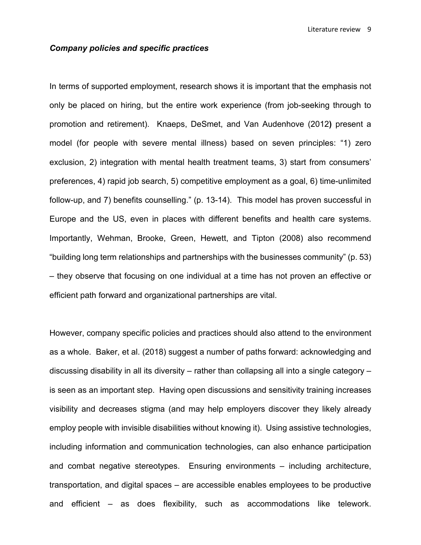# *Company policies and specific practices*

In terms of supported employment, research shows it is important that the emphasis not only be placed on hiring, but the entire work experience (from job-seeking through to promotion and retirement). Knaeps, DeSmet, and Van Audenhove (2012**)** present a model (for people with severe mental illness) based on seven principles: "1) zero exclusion, 2) integration with mental health treatment teams, 3) start from consumers' preferences, 4) rapid job search, 5) competitive employment as a goal, 6) time-unlimited follow-up, and 7) benefits counselling." (p. 13-14). This model has proven successful in Europe and the US, even in places with different benefits and health care systems. Importantly, Wehman, Brooke, Green, Hewett, and Tipton (2008) also recommend "building long term relationships and partnerships with the businesses community" (p. 53) – they observe that focusing on one individual at a time has not proven an effective or efficient path forward and organizational partnerships are vital.

However, company specific policies and practices should also attend to the environment as a whole. Baker, et al. (2018) suggest a number of paths forward: acknowledging and discussing disability in all its diversity – rather than collapsing all into a single category – is seen as an important step. Having open discussions and sensitivity training increases visibility and decreases stigma (and may help employers discover they likely already employ people with invisible disabilities without knowing it). Using assistive technologies, including information and communication technologies, can also enhance participation and combat negative stereotypes. Ensuring environments – including architecture, transportation, and digital spaces – are accessible enables employees to be productive and efficient – as does flexibility, such as accommodations like telework.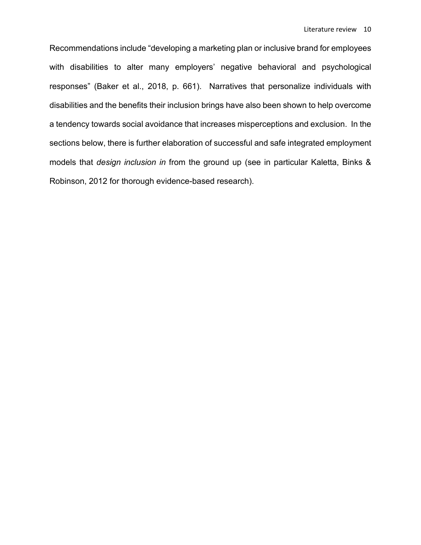Recommendations include "developing a marketing plan or inclusive brand for employees with disabilities to alter many employers' negative behavioral and psychological responses" (Baker et al., 2018, p. 661). Narratives that personalize individuals with disabilities and the benefits their inclusion brings have also been shown to help overcome a tendency towards social avoidance that increases misperceptions and exclusion. In the sections below, there is further elaboration of successful and safe integrated employment models that *design inclusion in* from the ground up (see in particular Kaletta, Binks & Robinson, 2012 for thorough evidence-based research).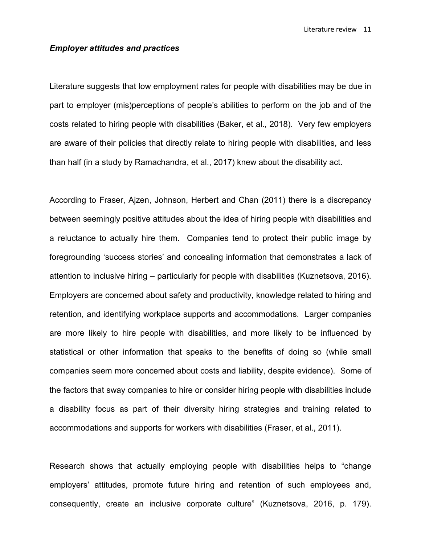Literature review 11

# *Employer attitudes and practices*

Literature suggests that low employment rates for people with disabilities may be due in part to employer (mis)perceptions of people's abilities to perform on the job and of the costs related to hiring people with disabilities (Baker, et al., 2018). Very few employers are aware of their policies that directly relate to hiring people with disabilities, and less than half (in a study by Ramachandra, et al., 2017) knew about the disability act.

According to Fraser, Ajzen, Johnson, Herbert and Chan (2011) there is a discrepancy between seemingly positive attitudes about the idea of hiring people with disabilities and a reluctance to actually hire them. Companies tend to protect their public image by foregrounding 'success stories' and concealing information that demonstrates a lack of attention to inclusive hiring – particularly for people with disabilities (Kuznetsova, 2016). Employers are concerned about safety and productivity, knowledge related to hiring and retention, and identifying workplace supports and accommodations. Larger companies are more likely to hire people with disabilities, and more likely to be influenced by statistical or other information that speaks to the benefits of doing so (while small companies seem more concerned about costs and liability, despite evidence). Some of the factors that sway companies to hire or consider hiring people with disabilities include a disability focus as part of their diversity hiring strategies and training related to accommodations and supports for workers with disabilities (Fraser, et al., 2011).

Research shows that actually employing people with disabilities helps to "change employers' attitudes, promote future hiring and retention of such employees and, consequently, create an inclusive corporate culture" (Kuznetsova, 2016, p. 179).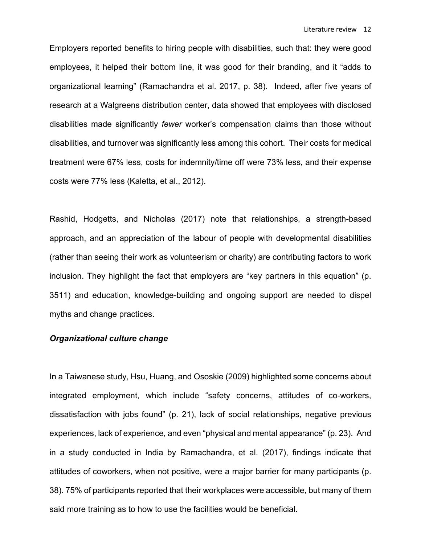Employers reported benefits to hiring people with disabilities, such that: they were good employees, it helped their bottom line, it was good for their branding, and it "adds to organizational learning" (Ramachandra et al. 2017, p. 38). Indeed, after five years of research at a Walgreens distribution center, data showed that employees with disclosed disabilities made significantly *fewer* worker's compensation claims than those without disabilities, and turnover was significantly less among this cohort. Their costs for medical treatment were 67% less, costs for indemnity/time off were 73% less, and their expense costs were 77% less (Kaletta, et al., 2012).

Rashid, Hodgetts, and Nicholas (2017) note that relationships, a strength-based approach, and an appreciation of the labour of people with developmental disabilities (rather than seeing their work as volunteerism or charity) are contributing factors to work inclusion. They highlight the fact that employers are "key partners in this equation" (p. 3511) and education, knowledge-building and ongoing support are needed to dispel myths and change practices.

# *Organizational culture change*

In a Taiwanese study, Hsu, Huang, and Ososkie (2009) highlighted some concerns about integrated employment, which include "safety concerns, attitudes of co-workers, dissatisfaction with jobs found" (p. 21), lack of social relationships, negative previous experiences, lack of experience, and even "physical and mental appearance" (p. 23). And in a study conducted in India by Ramachandra, et al. (2017), findings indicate that attitudes of coworkers, when not positive, were a major barrier for many participants (p. 38). 75% of participants reported that their workplaces were accessible, but many of them said more training as to how to use the facilities would be beneficial.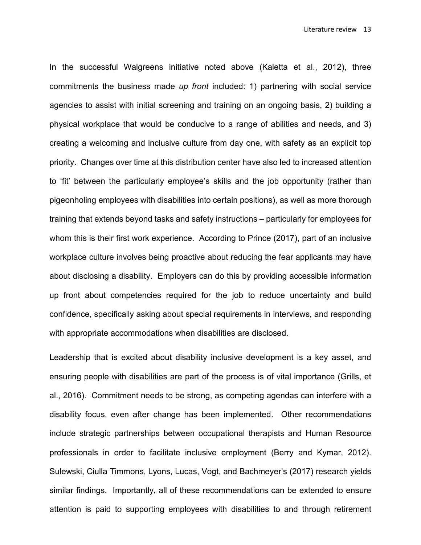In the successful Walgreens initiative noted above (Kaletta et al., 2012), three commitments the business made *up front* included: 1) partnering with social service agencies to assist with initial screening and training on an ongoing basis, 2) building a physical workplace that would be conducive to a range of abilities and needs, and 3) creating a welcoming and inclusive culture from day one, with safety as an explicit top priority. Changes over time at this distribution center have also led to increased attention to 'fit' between the particularly employee's skills and the job opportunity (rather than pigeonholing employees with disabilities into certain positions), as well as more thorough training that extends beyond tasks and safety instructions – particularly for employees for whom this is their first work experience. According to Prince (2017), part of an inclusive workplace culture involves being proactive about reducing the fear applicants may have about disclosing a disability. Employers can do this by providing accessible information up front about competencies required for the job to reduce uncertainty and build confidence, specifically asking about special requirements in interviews, and responding with appropriate accommodations when disabilities are disclosed.

Leadership that is excited about disability inclusive development is a key asset, and ensuring people with disabilities are part of the process is of vital importance (Grills, et al., 2016). Commitment needs to be strong, as competing agendas can interfere with a disability focus, even after change has been implemented. Other recommendations include strategic partnerships between occupational therapists and Human Resource professionals in order to facilitate inclusive employment (Berry and Kymar, 2012). Sulewski, Ciulla Timmons, Lyons, Lucas, Vogt, and Bachmeyer's (2017) research yields similar findings. Importantly, all of these recommendations can be extended to ensure attention is paid to supporting employees with disabilities to and through retirement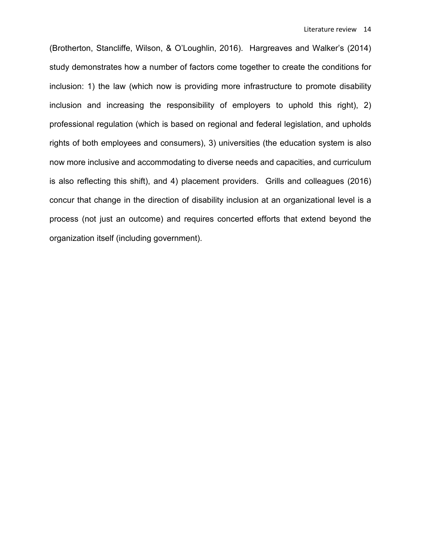(Brotherton, Stancliffe, Wilson, & O'Loughlin, 2016). Hargreaves and Walker's (2014) study demonstrates how a number of factors come together to create the conditions for inclusion: 1) the law (which now is providing more infrastructure to promote disability inclusion and increasing the responsibility of employers to uphold this right), 2) professional regulation (which is based on regional and federal legislation, and upholds rights of both employees and consumers), 3) universities (the education system is also now more inclusive and accommodating to diverse needs and capacities, and curriculum is also reflecting this shift), and 4) placement providers. Grills and colleagues (2016) concur that change in the direction of disability inclusion at an organizational level is a process (not just an outcome) and requires concerted efforts that extend beyond the organization itself (including government).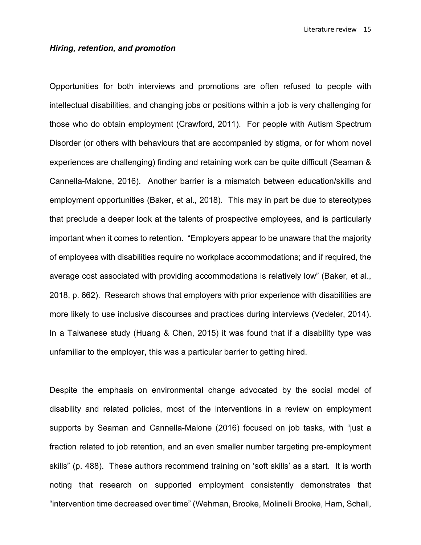Literature review 15

### *Hiring, retention, and promotion*

Opportunities for both interviews and promotions are often refused to people with intellectual disabilities, and changing jobs or positions within a job is very challenging for those who do obtain employment (Crawford, 2011). For people with Autism Spectrum Disorder (or others with behaviours that are accompanied by stigma, or for whom novel experiences are challenging) finding and retaining work can be quite difficult (Seaman & Cannella-Malone, 2016). Another barrier is a mismatch between education/skills and employment opportunities (Baker, et al., 2018). This may in part be due to stereotypes that preclude a deeper look at the talents of prospective employees, and is particularly important when it comes to retention. "Employers appear to be unaware that the majority of employees with disabilities require no workplace accommodations; and if required, the average cost associated with providing accommodations is relatively low" (Baker, et al., 2018, p. 662). Research shows that employers with prior experience with disabilities are more likely to use inclusive discourses and practices during interviews (Vedeler, 2014). In a Taiwanese study (Huang & Chen, 2015) it was found that if a disability type was unfamiliar to the employer, this was a particular barrier to getting hired.

Despite the emphasis on environmental change advocated by the social model of disability and related policies, most of the interventions in a review on employment supports by Seaman and Cannella-Malone (2016) focused on job tasks, with "just a fraction related to job retention, and an even smaller number targeting pre-employment skills" (p. 488). These authors recommend training on 'soft skills' as a start. It is worth noting that research on supported employment consistently demonstrates that "intervention time decreased over time" (Wehman, Brooke, Molinelli Brooke, Ham, Schall,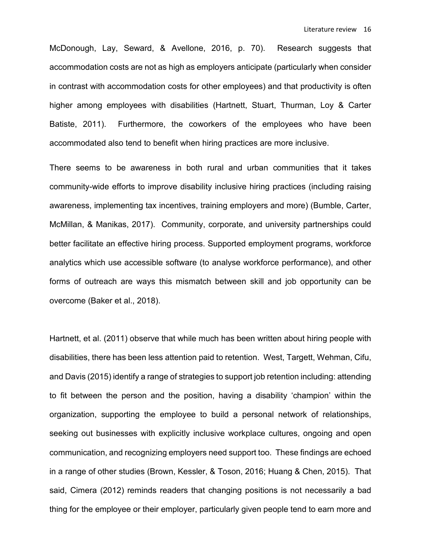McDonough, Lay, Seward, & Avellone, 2016, p. 70). Research suggests that accommodation costs are not as high as employers anticipate (particularly when consider in contrast with accommodation costs for other employees) and that productivity is often higher among employees with disabilities (Hartnett, Stuart, Thurman, Loy & Carter Batiste, 2011). Furthermore, the coworkers of the employees who have been accommodated also tend to benefit when hiring practices are more inclusive.

There seems to be awareness in both rural and urban communities that it takes community-wide efforts to improve disability inclusive hiring practices (including raising awareness, implementing tax incentives, training employers and more) (Bumble, Carter, McMillan, & Manikas, 2017). Community, corporate, and university partnerships could better facilitate an effective hiring process. Supported employment programs, workforce analytics which use accessible software (to analyse workforce performance), and other forms of outreach are ways this mismatch between skill and job opportunity can be overcome (Baker et al., 2018).

Hartnett, et al. (2011) observe that while much has been written about hiring people with disabilities, there has been less attention paid to retention. West, Targett, Wehman, Cifu, and Davis (2015) identify a range of strategies to support job retention including: attending to fit between the person and the position, having a disability 'champion' within the organization, supporting the employee to build a personal network of relationships, seeking out businesses with explicitly inclusive workplace cultures, ongoing and open communication, and recognizing employers need support too. These findings are echoed in a range of other studies (Brown, Kessler, & Toson, 2016; Huang & Chen, 2015). That said, Cimera (2012) reminds readers that changing positions is not necessarily a bad thing for the employee or their employer, particularly given people tend to earn more and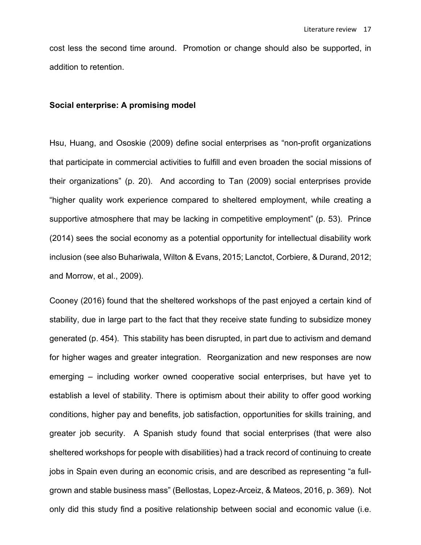cost less the second time around. Promotion or change should also be supported, in addition to retention.

#### **Social enterprise: A promising model**

Hsu, Huang, and Ososkie (2009) define social enterprises as "non-profit organizations that participate in commercial activities to fulfill and even broaden the social missions of their organizations" (p. 20). And according to Tan (2009) social enterprises provide "higher quality work experience compared to sheltered employment, while creating a supportive atmosphere that may be lacking in competitive employment" (p. 53). Prince (2014) sees the social economy as a potential opportunity for intellectual disability work inclusion (see also Buhariwala, Wilton & Evans, 2015; Lanctot, Corbiere, & Durand, 2012; and Morrow, et al., 2009).

Cooney (2016) found that the sheltered workshops of the past enjoyed a certain kind of stability, due in large part to the fact that they receive state funding to subsidize money generated (p. 454). This stability has been disrupted, in part due to activism and demand for higher wages and greater integration. Reorganization and new responses are now emerging – including worker owned cooperative social enterprises, but have yet to establish a level of stability. There is optimism about their ability to offer good working conditions, higher pay and benefits, job satisfaction, opportunities for skills training, and greater job security. A Spanish study found that social enterprises (that were also sheltered workshops for people with disabilities) had a track record of continuing to create jobs in Spain even during an economic crisis, and are described as representing "a fullgrown and stable business mass" (Bellostas, Lopez-Arceiz, & Mateos, 2016, p. 369). Not only did this study find a positive relationship between social and economic value (i.e.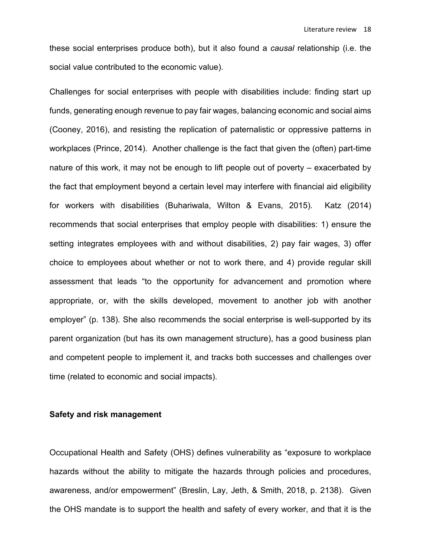these social enterprises produce both), but it also found a *causal* relationship (i.e. the social value contributed to the economic value).

Challenges for social enterprises with people with disabilities include: finding start up funds, generating enough revenue to pay fair wages, balancing economic and social aims (Cooney, 2016), and resisting the replication of paternalistic or oppressive patterns in workplaces (Prince, 2014). Another challenge is the fact that given the (often) part-time nature of this work, it may not be enough to lift people out of poverty – exacerbated by the fact that employment beyond a certain level may interfere with financial aid eligibility for workers with disabilities (Buhariwala, Wilton & Evans, 2015). Katz (2014) recommends that social enterprises that employ people with disabilities: 1) ensure the setting integrates employees with and without disabilities, 2) pay fair wages, 3) offer choice to employees about whether or not to work there, and 4) provide regular skill assessment that leads "to the opportunity for advancement and promotion where appropriate, or, with the skills developed, movement to another job with another employer" (p. 138). She also recommends the social enterprise is well-supported by its parent organization (but has its own management structure), has a good business plan and competent people to implement it, and tracks both successes and challenges over time (related to economic and social impacts).

#### **Safety and risk management**

Occupational Health and Safety (OHS) defines vulnerability as "exposure to workplace hazards without the ability to mitigate the hazards through policies and procedures, awareness, and/or empowerment" (Breslin, Lay, Jeth, & Smith, 2018, p. 2138). Given the OHS mandate is to support the health and safety of every worker, and that it is the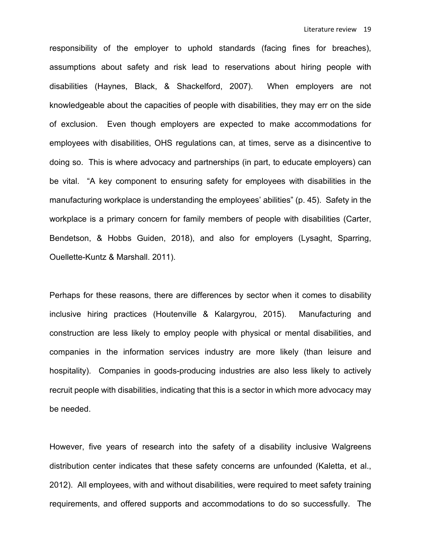responsibility of the employer to uphold standards (facing fines for breaches), assumptions about safety and risk lead to reservations about hiring people with disabilities (Haynes, Black, & Shackelford, 2007). When employers are not knowledgeable about the capacities of people with disabilities, they may err on the side of exclusion. Even though employers are expected to make accommodations for employees with disabilities, OHS regulations can, at times, serve as a disincentive to doing so. This is where advocacy and partnerships (in part, to educate employers) can be vital. "A key component to ensuring safety for employees with disabilities in the manufacturing workplace is understanding the employees' abilities" (p. 45). Safety in the workplace is a primary concern for family members of people with disabilities (Carter, Bendetson, & Hobbs Guiden, 2018), and also for employers (Lysaght, Sparring, Ouellette-Kuntz & Marshall. 2011).

Perhaps for these reasons, there are differences by sector when it comes to disability inclusive hiring practices (Houtenville & Kalargyrou, 2015). Manufacturing and construction are less likely to employ people with physical or mental disabilities, and companies in the information services industry are more likely (than leisure and hospitality). Companies in goods-producing industries are also less likely to actively recruit people with disabilities, indicating that this is a sector in which more advocacy may be needed.

However, five years of research into the safety of a disability inclusive Walgreens distribution center indicates that these safety concerns are unfounded (Kaletta, et al., 2012). All employees, with and without disabilities, were required to meet safety training requirements, and offered supports and accommodations to do so successfully. The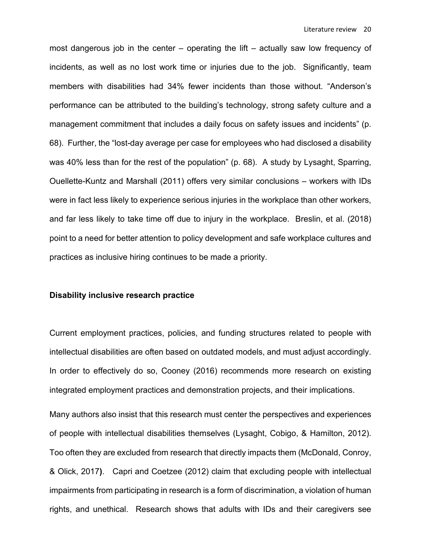most dangerous job in the center – operating the lift – actually saw low frequency of incidents, as well as no lost work time or injuries due to the job. Significantly, team members with disabilities had 34% fewer incidents than those without. "Anderson's performance can be attributed to the building's technology, strong safety culture and a management commitment that includes a daily focus on safety issues and incidents" (p. 68). Further, the "lost-day average per case for employees who had disclosed a disability was 40% less than for the rest of the population" (p. 68). A study by Lysaght, Sparring, Ouellette-Kuntz and Marshall (2011) offers very similar conclusions – workers with IDs were in fact less likely to experience serious injuries in the workplace than other workers, and far less likely to take time off due to injury in the workplace. Breslin, et al. (2018) point to a need for better attention to policy development and safe workplace cultures and practices as inclusive hiring continues to be made a priority.

#### **Disability inclusive research practice**

Current employment practices, policies, and funding structures related to people with intellectual disabilities are often based on outdated models, and must adjust accordingly. In order to effectively do so, Cooney (2016) recommends more research on existing integrated employment practices and demonstration projects, and their implications.

Many authors also insist that this research must center the perspectives and experiences of people with intellectual disabilities themselves (Lysaght, Cobigo, & Hamilton, 2012). Too often they are excluded from research that directly impacts them (McDonald, Conroy, & Olick, 2017**)**. Capri and Coetzee (2012) claim that excluding people with intellectual impairments from participating in research is a form of discrimination, a violation of human rights, and unethical. Research shows that adults with IDs and their caregivers see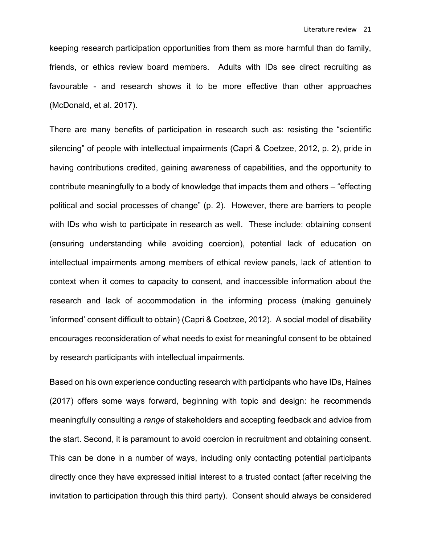keeping research participation opportunities from them as more harmful than do family, friends, or ethics review board members. Adults with IDs see direct recruiting as favourable - and research shows it to be more effective than other approaches (McDonald, et al. 2017).

There are many benefits of participation in research such as: resisting the "scientific silencing" of people with intellectual impairments (Capri & Coetzee, 2012, p. 2), pride in having contributions credited, gaining awareness of capabilities, and the opportunity to contribute meaningfully to a body of knowledge that impacts them and others – "effecting political and social processes of change" (p. 2). However, there are barriers to people with IDs who wish to participate in research as well. These include: obtaining consent (ensuring understanding while avoiding coercion), potential lack of education on intellectual impairments among members of ethical review panels, lack of attention to context when it comes to capacity to consent, and inaccessible information about the research and lack of accommodation in the informing process (making genuinely 'informed' consent difficult to obtain) (Capri & Coetzee, 2012). A social model of disability encourages reconsideration of what needs to exist for meaningful consent to be obtained by research participants with intellectual impairments.

Based on his own experience conducting research with participants who have IDs, Haines (2017) offers some ways forward, beginning with topic and design: he recommends meaningfully consulting a *range* of stakeholders and accepting feedback and advice from the start. Second, it is paramount to avoid coercion in recruitment and obtaining consent. This can be done in a number of ways, including only contacting potential participants directly once they have expressed initial interest to a trusted contact (after receiving the invitation to participation through this third party). Consent should always be considered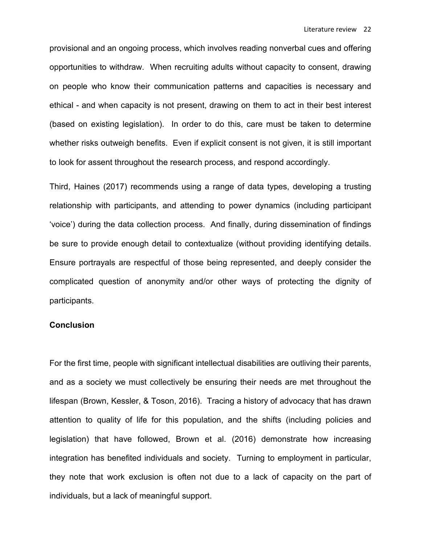provisional and an ongoing process, which involves reading nonverbal cues and offering opportunities to withdraw. When recruiting adults without capacity to consent, drawing on people who know their communication patterns and capacities is necessary and ethical - and when capacity is not present, drawing on them to act in their best interest (based on existing legislation). In order to do this, care must be taken to determine whether risks outweigh benefits. Even if explicit consent is not given, it is still important to look for assent throughout the research process, and respond accordingly.

Third, Haines (2017) recommends using a range of data types, developing a trusting relationship with participants, and attending to power dynamics (including participant 'voice') during the data collection process. And finally, during dissemination of findings be sure to provide enough detail to contextualize (without providing identifying details. Ensure portrayals are respectful of those being represented, and deeply consider the complicated question of anonymity and/or other ways of protecting the dignity of participants.

#### **Conclusion**

For the first time, people with significant intellectual disabilities are outliving their parents, and as a society we must collectively be ensuring their needs are met throughout the lifespan (Brown, Kessler, & Toson, 2016). Tracing a history of advocacy that has drawn attention to quality of life for this population, and the shifts (including policies and legislation) that have followed, Brown et al. (2016) demonstrate how increasing integration has benefited individuals and society. Turning to employment in particular, they note that work exclusion is often not due to a lack of capacity on the part of individuals, but a lack of meaningful support.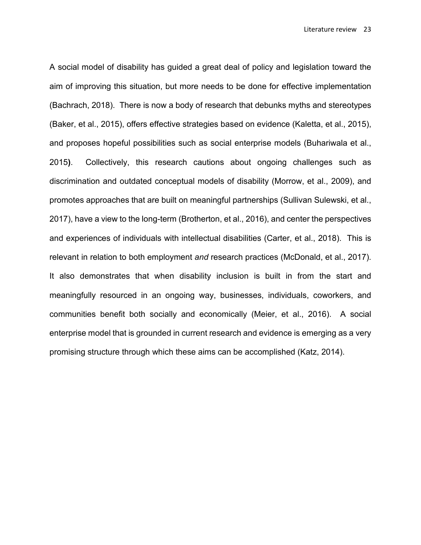A social model of disability has guided a great deal of policy and legislation toward the aim of improving this situation, but more needs to be done for effective implementation (Bachrach, 2018). There is now a body of research that debunks myths and stereotypes (Baker, et al., 2015), offers effective strategies based on evidence (Kaletta, et al., 2015), and proposes hopeful possibilities such as social enterprise models (Buhariwala et al., 2015**)**. Collectively, this research cautions about ongoing challenges such as discrimination and outdated conceptual models of disability (Morrow, et al., 2009), and promotes approaches that are built on meaningful partnerships (Sullivan Sulewski, et al., 2017), have a view to the long-term (Brotherton, et al., 2016), and center the perspectives and experiences of individuals with intellectual disabilities (Carter, et al., 2018). This is relevant in relation to both employment *and* research practices (McDonald, et al., 2017). It also demonstrates that when disability inclusion is built in from the start and meaningfully resourced in an ongoing way, businesses, individuals, coworkers, and communities benefit both socially and economically (Meier, et al., 2016). A social enterprise model that is grounded in current research and evidence is emerging as a very promising structure through which these aims can be accomplished (Katz, 2014).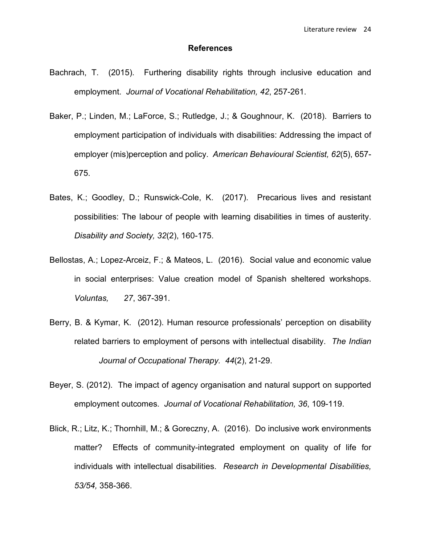#### **References**

- Bachrach, T. (2015). Furthering disability rights through inclusive education and employment. *Journal of Vocational Rehabilitation, 42*, 257-261.
- Baker, P.; Linden, M.; LaForce, S.; Rutledge, J.; & Goughnour, K. (2018). Barriers to employment participation of individuals with disabilities: Addressing the impact of employer (mis)perception and policy. *American Behavioural Scientist, 62*(5), 657- 675.
- Bates, K.; Goodley, D.; Runswick-Cole, K. (2017). Precarious lives and resistant possibilities: The labour of people with learning disabilities in times of austerity. *Disability and Society, 32*(2), 160-175.
- Bellostas, A.; Lopez-Arceiz, F.; & Mateos, L. (2016). Social value and economic value in social enterprises: Value creation model of Spanish sheltered workshops. *Voluntas, 27*, 367-391.
- Berry, B. & Kymar, K. (2012). Human resource professionals' perception on disability related barriers to employment of persons with intellectual disability. *The Indian Journal of Occupational Therapy. 44*(2), 21-29.
- Beyer, S. (2012). The impact of agency organisation and natural support on supported employment outcomes. *Journal of Vocational Rehabilitation, 36*, 109-119.
- Blick, R.; Litz, K.; Thornhill, M.; & Goreczny, A. (2016). Do inclusive work environments matter? Effects of community-integrated employment on quality of life for individuals with intellectual disabilities. *Research in Developmental Disabilities, 53/54,* 358-366.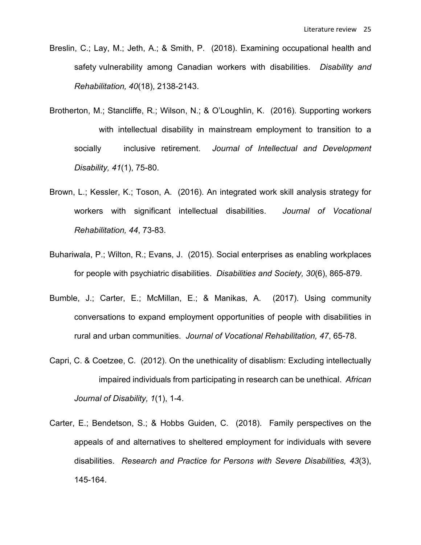- Breslin, C.; Lay, M.; Jeth, A.; & Smith, P. (2018). Examining occupational health and safety vulnerability among Canadian workers with disabilities. *Disability and Rehabilitation, 40*(18), 2138-2143.
- Brotherton, M.; Stancliffe, R.; Wilson, N.; & O'Loughlin, K. (2016). Supporting workers with intellectual disability in mainstream employment to transition to a socially inclusive retirement. *Journal of Intellectual and Development Disability, 41*(1), 75-80.
- Brown, L.; Kessler, K.; Toson, A. (2016). An integrated work skill analysis strategy for workers with significant intellectual disabilities. *Journal of Vocational Rehabilitation, 44*, 73-83.
- Buhariwala, P.; Wilton, R.; Evans, J. (2015). Social enterprises as enabling workplaces for people with psychiatric disabilities. *Disabilities and Society, 30*(6), 865-879.
- Bumble, J.; Carter, E.; McMillan, E.; & Manikas, A. (2017). Using community conversations to expand employment opportunities of people with disabilities in rural and urban communities. *Journal of Vocational Rehabilitation, 47*, 65-78.
- Capri, C. & Coetzee, C. (2012). On the unethicality of disablism: Excluding intellectually impaired individuals from participating in research can be unethical. *African Journal of Disability, 1*(1), 1-4.
- Carter, E.; Bendetson, S.; & Hobbs Guiden, C. (2018). Family perspectives on the appeals of and alternatives to sheltered employment for individuals with severe disabilities. *Research and Practice for Persons with Severe Disabilities, 43*(3), 145-164.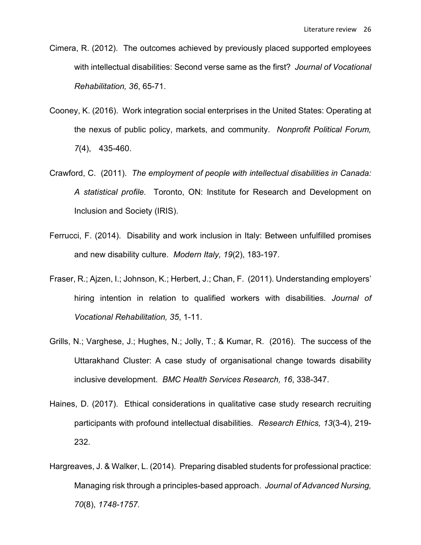- Cimera, R. (2012). The outcomes achieved by previously placed supported employees with intellectual disabilities: Second verse same as the first? *Journal of Vocational Rehabilitation, 36*, 65-71.
- Cooney, K. (2016). Work integration social enterprises in the United States: Operating at the nexus of public policy, markets, and community. *Nonprofit Political Forum, 7*(4), 435-460.
- Crawford, C. (2011). *The employment of people with intellectual disabilities in Canada: A statistical profile.* Toronto, ON: Institute for Research and Development on Inclusion and Society (IRIS).
- Ferrucci, F. (2014). Disability and work inclusion in Italy: Between unfulfilled promises and new disability culture. *Modern Italy, 19*(2), 183-197.
- Fraser, R.; Ajzen, I.; Johnson, K.; Herbert, J.; Chan, F. (2011). Understanding employers' hiring intention in relation to qualified workers with disabilities. *Journal of Vocational Rehabilitation, 35*, 1-11.
- Grills, N.; Varghese, J.; Hughes, N.; Jolly, T.; & Kumar, R. (2016). The success of the Uttarakhand Cluster: A case study of organisational change towards disability inclusive development. *BMC Health Services Research, 16*, 338-347.
- Haines, D. (2017). Ethical considerations in qualitative case study research recruiting participants with profound intellectual disabilities. *Research Ethics, 13*(3-4), 219- 232.
- Hargreaves, J. & Walker, L. (2014). Preparing disabled students for professional practice: Managing risk through a principles-based approach. *Journal of Advanced Nursing, 70*(8), *1748-1757.*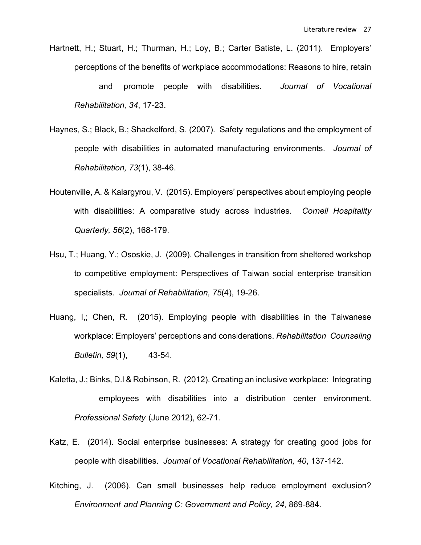- Hartnett, H.; Stuart, H.; Thurman, H.; Loy, B.; Carter Batiste, L. (2011). Employers' perceptions of the benefits of workplace accommodations: Reasons to hire, retain and promote people with disabilities. *Journal of Vocational Rehabilitation, 34*, 17-23.
- Haynes, S.; Black, B.; Shackelford, S. (2007). Safety regulations and the employment of people with disabilities in automated manufacturing environments. *Journal of Rehabilitation, 73*(1), 38-46.
- Houtenville, A. & Kalargyrou, V. (2015). Employers' perspectives about employing people with disabilities: A comparative study across industries. *Cornell Hospitality Quarterly, 56*(2), 168-179.
- Hsu, T.; Huang, Y.; Ososkie, J. (2009). Challenges in transition from sheltered workshop to competitive employment: Perspectives of Taiwan social enterprise transition specialists. *Journal of Rehabilitation, 75*(4), 19-26.
- Huang, I,; Chen, R. (2015). Employing people with disabilities in the Taiwanese workplace: Employers' perceptions and considerations. *Rehabilitation Counseling Bulletin, 59*(1), 43-54.
- Kaletta, J.; Binks, D.l & Robinson, R. (2012). Creating an inclusive workplace: Integrating employees with disabilities into a distribution center environment. *Professional Safety* (June 2012), 62-71.
- Katz, E. (2014). Social enterprise businesses: A strategy for creating good jobs for people with disabilities. *Journal of Vocational Rehabilitation, 40*, 137-142.
- Kitching, J. (2006). Can small businesses help reduce employment exclusion? *Environment and Planning C: Government and Policy, 24*, 869-884.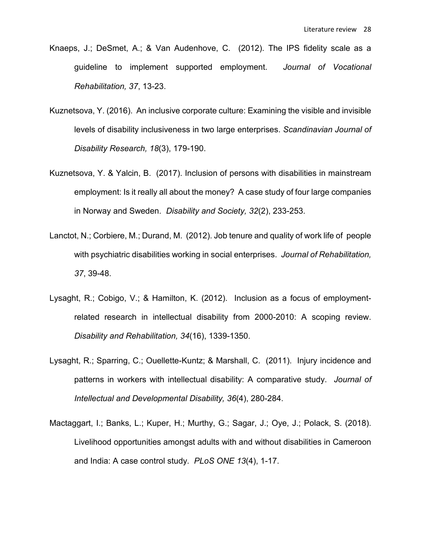- Knaeps, J.; DeSmet, A.; & Van Audenhove, C. (2012). The IPS fidelity scale as a guideline to implement supported employment. *Journal of Vocational Rehabilitation, 37*, 13-23.
- Kuznetsova, Y. (2016). An inclusive corporate culture: Examining the visible and invisible levels of disability inclusiveness in two large enterprises. *Scandinavian Journal of Disability Research, 18*(3), 179-190.
- Kuznetsova, Y. & Yalcin, B. (2017). Inclusion of persons with disabilities in mainstream employment: Is it really all about the money? A case study of four large companies in Norway and Sweden. *Disability and Society, 32*(2), 233-253.
- Lanctot, N.; Corbiere, M.; Durand, M. (2012). Job tenure and quality of work life of people with psychiatric disabilities working in social enterprises. *Journal of Rehabilitation, 37*, 39-48.
- Lysaght, R.; Cobigo, V.; & Hamilton, K. (2012). Inclusion as a focus of employmentrelated research in intellectual disability from 2000-2010: A scoping review. *Disability and Rehabilitation, 34*(16), 1339-1350.
- Lysaght, R.; Sparring, C.; Ouellette-Kuntz; & Marshall, C. (2011). Injury incidence and patterns in workers with intellectual disability: A comparative study. *Journal of Intellectual and Developmental Disability, 36*(4), 280-284.
- Mactaggart, I.; Banks, L.; Kuper, H.; Murthy, G.; Sagar, J.; Oye, J.; Polack, S. (2018). Livelihood opportunities amongst adults with and without disabilities in Cameroon and India: A case control study. *PLoS ONE 13*(4), 1-17.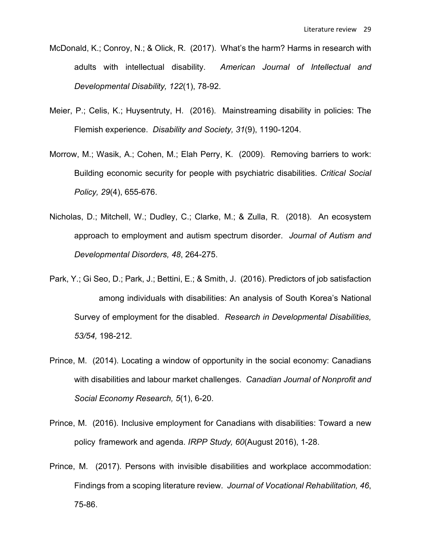- McDonald, K.; Conroy, N.; & Olick, R. (2017). What's the harm? Harms in research with adults with intellectual disability. *American Journal of Intellectual and Developmental Disability, 122*(1), 78-92.
- Meier, P.; Celis, K.; Huysentruty, H. (2016). Mainstreaming disability in policies: The Flemish experience. *Disability and Society, 31*(9), 1190-1204.
- Morrow, M.; Wasik, A.; Cohen, M.; Elah Perry, K. (2009). Removing barriers to work: Building economic security for people with psychiatric disabilities. *Critical Social Policy, 29*(4), 655-676.
- Nicholas, D.; Mitchell, W.; Dudley, C.; Clarke, M.; & Zulla, R. (2018). An ecosystem approach to employment and autism spectrum disorder. *Journal of Autism and Developmental Disorders, 48*, 264-275.
- Park, Y.; Gi Seo, D.; Park, J.; Bettini, E.; & Smith, J. (2016). Predictors of job satisfaction among individuals with disabilities: An analysis of South Korea's National Survey of employment for the disabled. *Research in Developmental Disabilities, 53/54,* 198-212.
- Prince, M. (2014). Locating a window of opportunity in the social economy: Canadians with disabilities and labour market challenges. *Canadian Journal of Nonprofit and Social Economy Research, 5*(1), 6-20.
- Prince, M. (2016). Inclusive employment for Canadians with disabilities: Toward a new policy framework and agenda. *IRPP Study, 60*(August 2016), 1-28.
- Prince, M. (2017). Persons with invisible disabilities and workplace accommodation: Findings from a scoping literature review. *Journal of Vocational Rehabilitation, 46*, 75-86.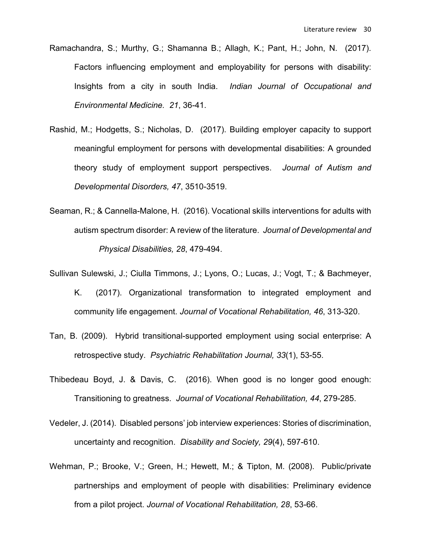- Ramachandra, S.; Murthy, G.; Shamanna B.; Allagh, K.; Pant, H.; John, N. (2017). Factors influencing employment and employability for persons with disability: Insights from a city in south India. *Indian Journal of Occupational and Environmental Medicine. 21*, 36-41.
- Rashid, M.; Hodgetts, S.; Nicholas, D. (2017). Building employer capacity to support meaningful employment for persons with developmental disabilities: A grounded theory study of employment support perspectives. *Journal of Autism and Developmental Disorders, 47*, 3510-3519.
- Seaman, R.; & Cannella-Malone, H. (2016). Vocational skills interventions for adults with autism spectrum disorder: A review of the literature. *Journal of Developmental and Physical Disabilities, 28*, 479-494.
- Sullivan Sulewski, J.; Ciulla Timmons, J.; Lyons, O.; Lucas, J.; Vogt, T.; & Bachmeyer, K. (2017). Organizational transformation to integrated employment and community life engagement. *Journal of Vocational Rehabilitation, 46*, 313-320.
- Tan, B. (2009). Hybrid transitional-supported employment using social enterprise: A retrospective study. *Psychiatric Rehabilitation Journal, 33*(1), 53-55.
- Thibedeau Boyd, J. & Davis, C. (2016). When good is no longer good enough: Transitioning to greatness. *Journal of Vocational Rehabilitation, 44*, 279-285.
- Vedeler, J. (2014). Disabled persons' job interview experiences: Stories of discrimination, uncertainty and recognition. *Disability and Society, 29*(4), 597-610.
- Wehman, P.; Brooke, V.; Green, H.; Hewett, M.; & Tipton, M. (2008). Public/private partnerships and employment of people with disabilities: Preliminary evidence from a pilot project. *Journal of Vocational Rehabilitation, 28*, 53-66.